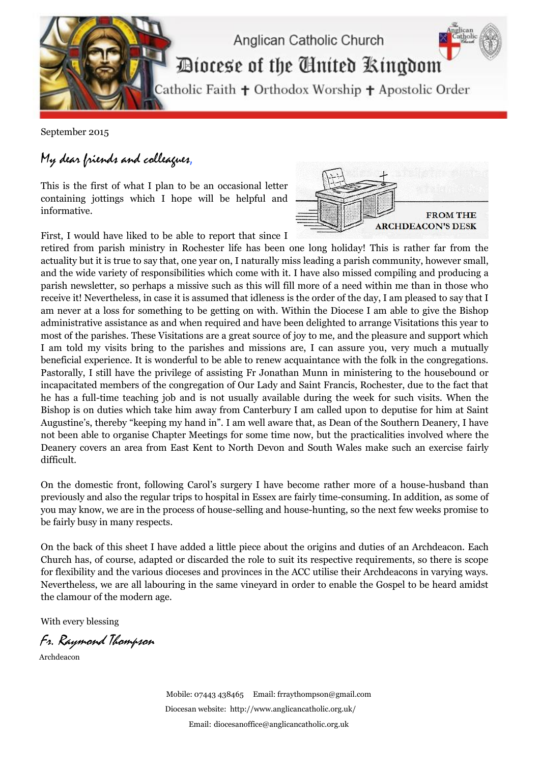

September 2015

## My dear friends and colleagues,

This is the first of what I plan to be an occasional letter containing jottings which I hope will be helpful and informative.

First, I would have liked to be able to report that since I



retired from parish ministry in Rochester life has been one long holiday! This is rather far from the actuality but it is true to say that, one year on, I naturally miss leading a parish community, however small, and the wide variety of responsibilities which come with it. I have also missed compiling and producing a parish newsletter, so perhaps a missive such as this will fill more of a need within me than in those who receive it! Nevertheless, in case it is assumed that idleness is the order of the day, I am pleased to say that I am never at a loss for something to be getting on with. Within the Diocese I am able to give the Bishop administrative assistance as and when required and have been delighted to arrange Visitations this year to most of the parishes. These Visitations are a great source of joy to me, and the pleasure and support which I am told my visits bring to the parishes and missions are, I can assure you, very much a mutually beneficial experience. It is wonderful to be able to renew acquaintance with the folk in the congregations. Pastorally, I still have the privilege of assisting Fr Jonathan Munn in ministering to the housebound or incapacitated members of the congregation of Our Lady and Saint Francis, Rochester, due to the fact that he has a full-time teaching job and is not usually available during the week for such visits. When the Bishop is on duties which take him away from Canterbury I am called upon to deputise for him at Saint Augustine's, thereby "keeping my hand in". I am well aware that, as Dean of the Southern Deanery, I have not been able to organise Chapter Meetings for some time now, but the practicalities involved where the Deanery covers an area from East Kent to North Devon and South Wales make such an exercise fairly difficult.

On the domestic front, following Carol's surgery I have become rather more of a house-husband than previously and also the regular trips to hospital in Essex are fairly time-consuming. In addition, as some of you may know, we are in the process of house-selling and house-hunting, so the next few weeks promise to be fairly busy in many respects.

On the back of this sheet I have added a little piece about the origins and duties of an Archdeacon. Each Church has, of course, adapted or discarded the role to suit its respective requirements, so there is scope for flexibility and the various dioceses and provinces in the ACC utilise their Archdeacons in varying ways. Nevertheless, we are all labouring in the same vineyard in order to enable the Gospel to be heard amidst the clamour of the modern age.

With every blessing

Fr. Raymond Thompson

Archdeacon

Mobile: 07443 438465 Email[: frraythompson@gmail.com](mailto:frraythompson@gmail.com) Diocesan website:<http://www.anglicancatholic.org.uk/> Email: [diocesanoffice@anglicancatholic.org.uk](mailto:diocesanoffice@anglicancatholic.org.uk)